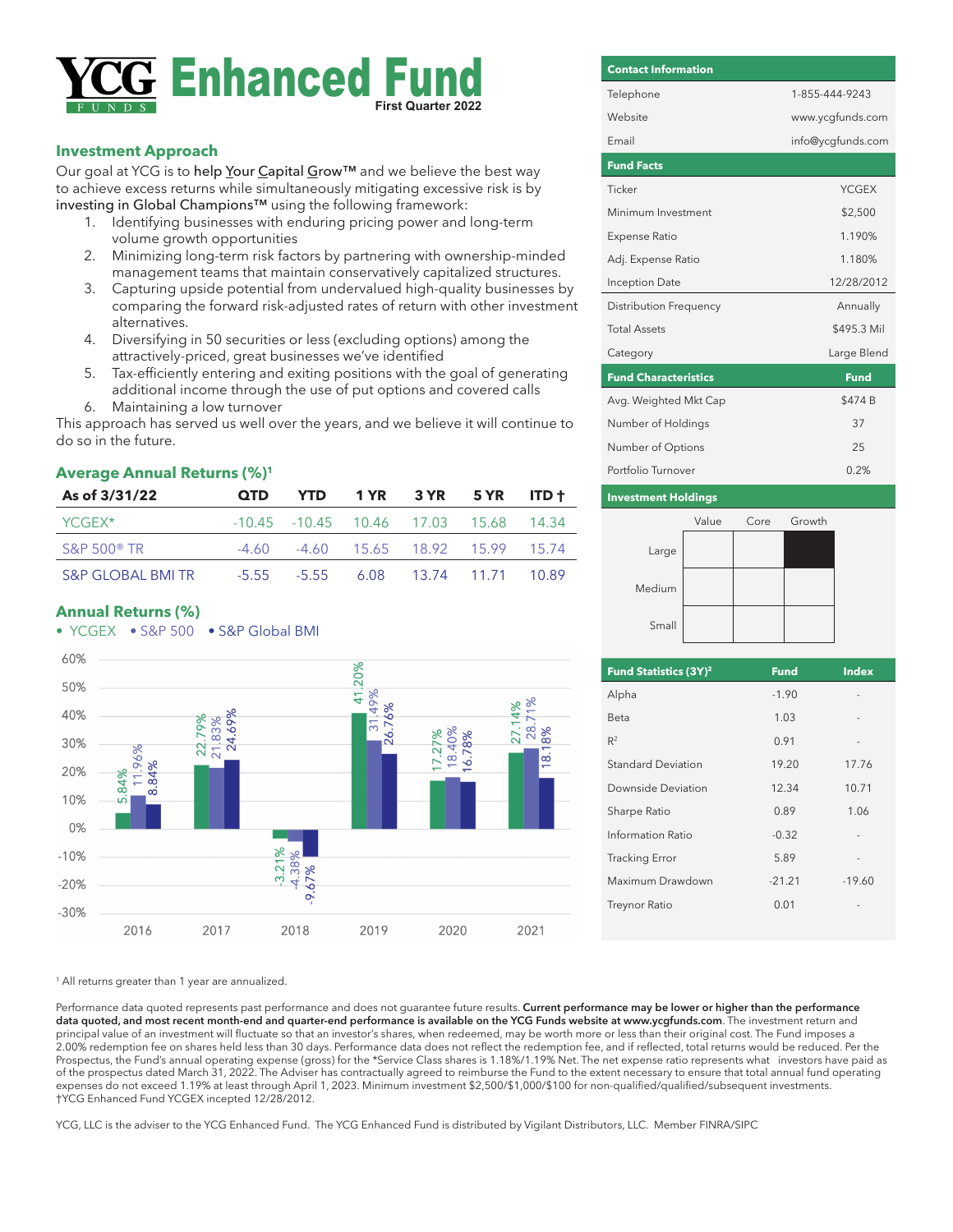# **Enhanced First Quarter 2022**

## **Investment Approach**

Our goal at YCG is to help Your Capital Grow™ and we believe the best way to achieve excess returns while simultaneously mitigating excessive risk is by investing in Global Champions™ using the following framework:

- Identifying businesses with enduring pricing power and long-term volume growth opportunities
- 2. Minimizing long-term risk factors by partnering with ownership-minded management teams that maintain conservatively capitalized structures.
- 3. Capturing upside potential from undervalued high-quality businesses by comparing the forward risk-adjusted rates of return with other investment alternatives.
- 4. Diversifying in 50 securities or less (excluding options) among the attractively-priced, great businesses we've identified
- 5. Tax-efficiently entering and exiting positions with the goal of generating additional income through the use of put options and covered calls 6. Maintaining a low turnover

This approach has served us well over the years, and we believe it will continue to do so in the future.

### **Average Annual Returns (%)1**

| As of 3/31/22                | <b>OTD</b> | <b>YTD</b>                                        | 1 YR 3 YR 5 YR ITD t |  |
|------------------------------|------------|---------------------------------------------------|----------------------|--|
| YCGEX*                       |            | $-10.45$ $-10.45$ $10.46$ $17.03$ $15.68$ $14.34$ |                      |  |
| $S\&P 500^{\circ}$ TR        |            | $-4.60$ $-4.60$ $15.65$ $18.92$ $15.99$ $15.74$   |                      |  |
| <b>S&amp;P GLOBAL BMI TR</b> |            | -5.55 -5.55 6.08 13.74 11.71 10.89                |                      |  |

### **Annual Returns (%)**



# **Fund Facts** Ticker YCGEX Minimum Investment \$2,500 Expense Ratio 1.190% Adj. Expense Ratio 1.180% Inception Date 12/28/2012 Distribution Frequency **Annually** Total Assets \$495.3 Mil Category Large Blend **Fund Characteristics Fund** Avg. Weighted Mkt Cap \$474 B Number of Holdings 37 Number of Options 25 Portfolio Turnover 0.2% **Contact Information** Telephone 1-855-444-9243 Website www.ycgfunds.com Email info@ycgfunds.com

#### **Investment Holdings**



| Fund Statistics (3Y) <sup>2</sup> | <b>Fund</b> | <b>Index</b> |
|-----------------------------------|-------------|--------------|
| Alpha                             | $-1.90$     |              |
| Beta                              | 1.03        |              |
| $R^2$                             | 0.91        |              |
| Standard Deviation                | 19.20       | 17.76        |
| Downside Deviation                | 12.34       | 10.71        |
| Sharpe Ratio                      | 0.89        | 1.06         |
| Information Ratio                 | $-0.32$     |              |
| <b>Tracking Error</b>             | 5.89        |              |
| Maximum Drawdown                  | $-21.21$    | $-19.60$     |
| <b>Treynor Ratio</b>              | 0.01        |              |
|                                   |             |              |

<sup>1</sup> All returns greater than 1 year are annualized.

Performance data quoted represents past performance and does not guarantee future results. **Current performance may be lower or higher than the performance data quoted, and most recent month-end and quarter-end performance is available on the YCG Funds website at www.ycgfunds.com**. The investment return and principal value of an investment will fluctuate so that an investor's shares, when redeemed, may be worth more or less than their original cost. The Fund imposes a 2.00% redemption fee on shares held less than 30 days. Performance data does not reflect the redemption fee, and if reflected, total returns would be reduced. Per the Prospectus, the Fund's annual operating expense (gross) for the \*Service Class shares is 1.18%/1.19% Net. The net expense ratio represents what investors have paid as of the prospectus dated March 31, 2022. The Adviser has contractually agreed to reimburse the Fund to the extent necessary to ensure that total annual fund operating expenses do not exceed 1.19% at least through April 1, 2023. Minimum investment \$2,500/\$1,000/\$100 for non-qualified/qualified/subsequent investments. †YCG Enhanced Fund YCGEX incepted 12/28/2012.

YCG, LLC is the adviser to the YCG Enhanced Fund. The YCG Enhanced Fund is distributed by Vigilant Distributors, LLC. Member FINRA/SIPC